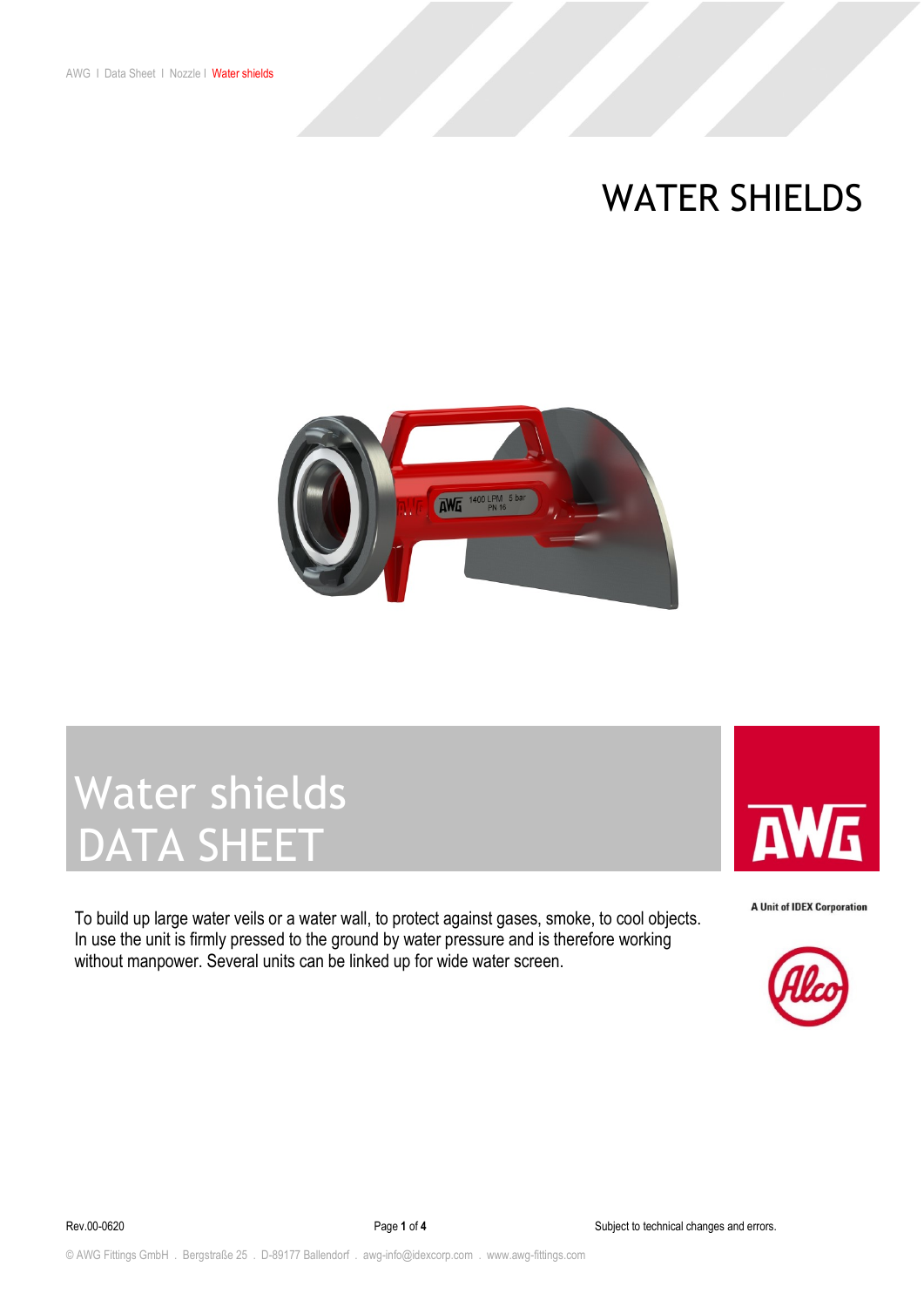### WATER SHIELDS



# Water shields DATA SHEET

To build up large water veils or a water wall, to protect against gases, smoke, to cool objects. In use the unit is firmly pressed to the ground by water pressure and is therefore working without manpower. Several units can be linked up for wide water screen.



**A Unit of IDEX Corporation** 

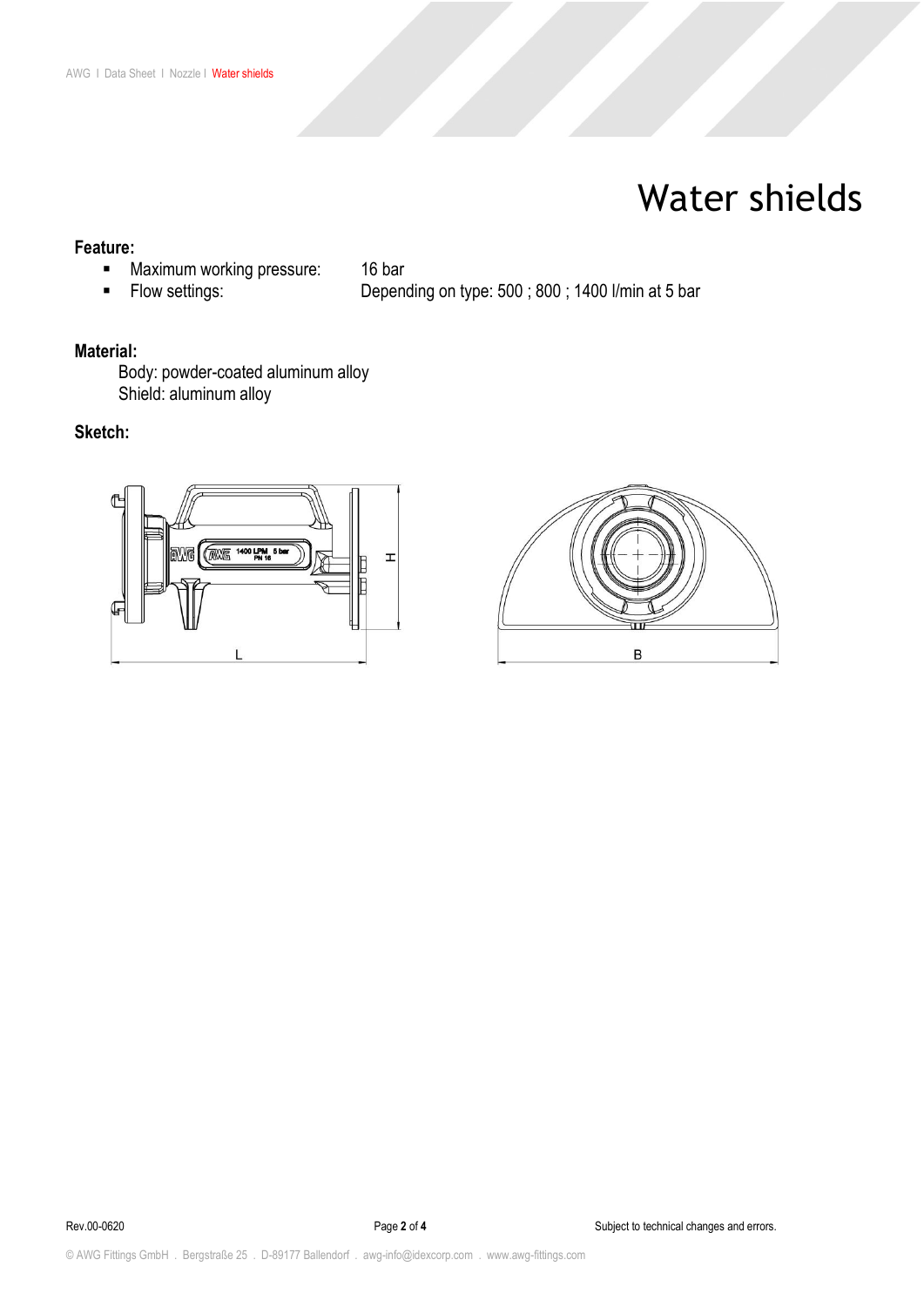### Water shields

### **Feature:**

- **■** Maximum working pressure: 16 bar<br>■ Flow settings: Depen
- 

■ Flow settings: The Depending on type: 500 ; 800 ; 1400 l/min at 5 bar

#### **Material:**

Body: powder-coated aluminum alloy Shield: aluminum alloy

### **Sketch:**



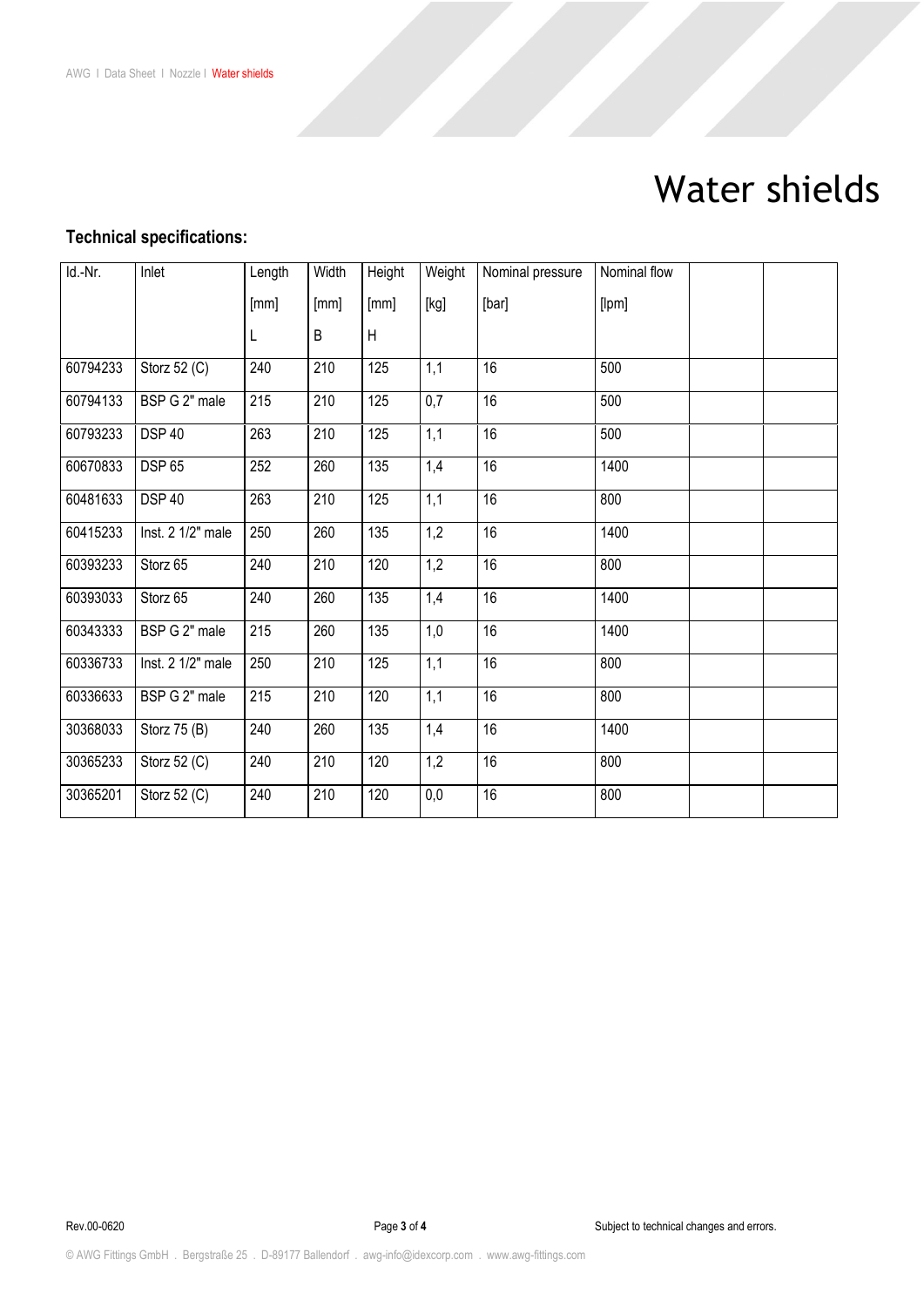## Water shields

### **Technical specifications:**

| Id.-Nr.  | Inlet             | Length | Width | Height | Weight | Nominal pressure | Nominal flow |  |
|----------|-------------------|--------|-------|--------|--------|------------------|--------------|--|
|          |                   | [mm]   | [mm]  | [mm]   | [kg]   | [bar]            | [lpm]        |  |
|          |                   | L      | B     | H      |        |                  |              |  |
| 60794233 | Storz 52 (C)      | 240    | 210   | 125    | 1,1    | 16               | 500          |  |
| 60794133 | BSP G 2" male     | 215    | 210   | 125    | 0,7    | 16               | 500          |  |
| 60793233 | <b>DSP 40</b>     | 263    | 210   | 125    | 1,1    | 16               | 500          |  |
| 60670833 | <b>DSP 65</b>     | 252    | 260   | 135    | 1,4    | 16               | 1400         |  |
| 60481633 | <b>DSP 40</b>     | 263    | 210   | 125    | 1,1    | 16               | 800          |  |
| 60415233 | Inst. 2 1/2" male | 250    | 260   | 135    | 1,2    | 16               | 1400         |  |
| 60393233 | Storz 65          | 240    | 210   | 120    | 1,2    | 16               | 800          |  |
| 60393033 | Storz 65          | 240    | 260   | 135    | 1,4    | $\overline{16}$  | 1400         |  |
| 60343333 | BSP G 2" male     | 215    | 260   | 135    | 1,0    | 16               | 1400         |  |
| 60336733 | Inst. 2 1/2" male | 250    | 210   | 125    | 1,1    | 16               | 800          |  |
| 60336633 | BSP G 2" male     | 215    | 210   | 120    | 1,1    | 16               | 800          |  |
| 30368033 | Storz 75 (B)      | 240    | 260   | 135    | 1,4    | 16               | 1400         |  |
| 30365233 | Storz 52 (C)      | 240    | 210   | 120    | 1,2    | 16               | 800          |  |
| 30365201 | Storz 52 (C)      | 240    | 210   | 120    | 0,0    | 16               | 800          |  |